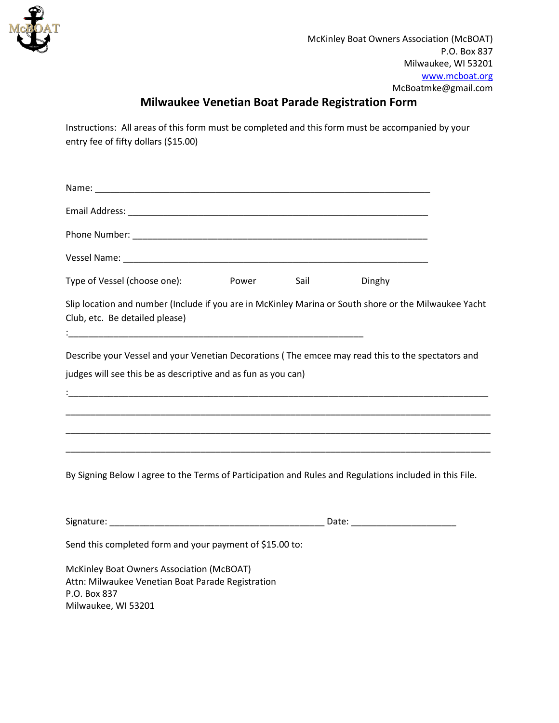

## **Milwaukee Venetian Boat Parade Registration Form**

Instructions: All areas of this form must be completed and this form must be accompanied by your entry fee of fifty dollars (\$15.00)

| Type of Vessel (choose one):                                                                                                                                                                                                      | <b>Power</b> | Sail | Dinghy |  |
|-----------------------------------------------------------------------------------------------------------------------------------------------------------------------------------------------------------------------------------|--------------|------|--------|--|
| Slip location and number (Include if you are in McKinley Marina or South shore or the Milwaukee Yacht<br>Club, etc. Be detailed please)                                                                                           |              |      |        |  |
| Describe your Vessel and your Venetian Decorations (The emcee may read this to the spectators and<br>judges will see this be as descriptive and as fun as you can)<br><u> 1989 - Johann Stoff, amerikansk politiker (d. 1989)</u> |              |      |        |  |
|                                                                                                                                                                                                                                   |              |      |        |  |
| By Signing Below I agree to the Terms of Participation and Rules and Regulations included in this File.                                                                                                                           |              |      |        |  |
|                                                                                                                                                                                                                                   |              |      |        |  |
| Send this completed form and your payment of \$15.00 to:                                                                                                                                                                          |              |      |        |  |
| McKinley Boat Owners Association (McBOAT)<br>Attn: Milwaukee Venetian Boat Parade Registration<br>P.O. Box 837<br>Milwaukee, WI 53201                                                                                             |              |      |        |  |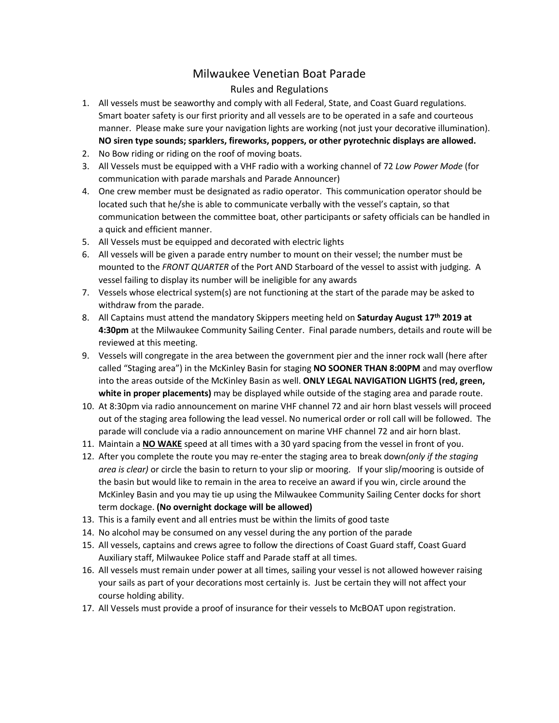## Milwaukee Venetian Boat Parade

## Rules and Regulations

- 1. All vessels must be seaworthy and comply with all Federal, State, and Coast Guard regulations. Smart boater safety is our first priority and all vessels are to be operated in a safe and courteous manner. Please make sure your navigation lights are working (not just your decorative illumination). **NO siren type sounds; sparklers, fireworks, poppers, or other pyrotechnic displays are allowed.**
- 2. No Bow riding or riding on the roof of moving boats.
- 3. All Vessels must be equipped with a VHF radio with a working channel of 72 *Low Power Mode* (for communication with parade marshals and Parade Announcer)
- 4. One crew member must be designated as radio operator. This communication operator should be located such that he/she is able to communicate verbally with the vessel's captain, so that communication between the committee boat, other participants or safety officials can be handled in a quick and efficient manner.
- 5. All Vessels must be equipped and decorated with electric lights
- 6. All vessels will be given a parade entry number to mount on their vessel; the number must be mounted to the *FRONT QUARTER* of the Port AND Starboard of the vessel to assist with judging. A vessel failing to display its number will be ineligible for any awards
- 7. Vessels whose electrical system(s) are not functioning at the start of the parade may be asked to withdraw from the parade.
- 8. All Captains must attend the mandatory Skippers meeting held on **Saturday August 17th 2019 at 4:30pm** at the Milwaukee Community Sailing Center. Final parade numbers, details and route will be reviewed at this meeting.
- 9. Vessels will congregate in the area between the government pier and the inner rock wall (here after called "Staging area") in the McKinley Basin for staging **NO SOONER THAN 8:00PM** and may overflow into the areas outside of the McKinley Basin as well. **ONLY LEGAL NAVIGATION LIGHTS (red, green, white in proper placements)** may be displayed while outside of the staging area and parade route.
- 10. At 8:30pm via radio announcement on marine VHF channel 72 and air horn blast vessels will proceed out of the staging area following the lead vessel. No numerical order or roll call will be followed. The parade will conclude via a radio announcement on marine VHF channel 72 and air horn blast.
- 11. Maintain a **NO WAKE** speed at all times with a 30 yard spacing from the vessel in front of you.
- 12. After you complete the route you may re-enter the staging area to break down*(only if the staging area is clear)* or circle the basin to return to your slip or mooring. If your slip/mooring is outside of the basin but would like to remain in the area to receive an award if you win, circle around the McKinley Basin and you may tie up using the Milwaukee Community Sailing Center docks for short term dockage. **(No overnight dockage will be allowed)**
- 13. This is a family event and all entries must be within the limits of good taste
- 14. No alcohol may be consumed on any vessel during the any portion of the parade
- 15. All vessels, captains and crews agree to follow the directions of Coast Guard staff, Coast Guard Auxiliary staff, Milwaukee Police staff and Parade staff at all times.
- 16. All vessels must remain under power at all times, sailing your vessel is not allowed however raising your sails as part of your decorations most certainly is. Just be certain they will not affect your course holding ability.
- 17. All Vessels must provide a proof of insurance for their vessels to McBOAT upon registration.